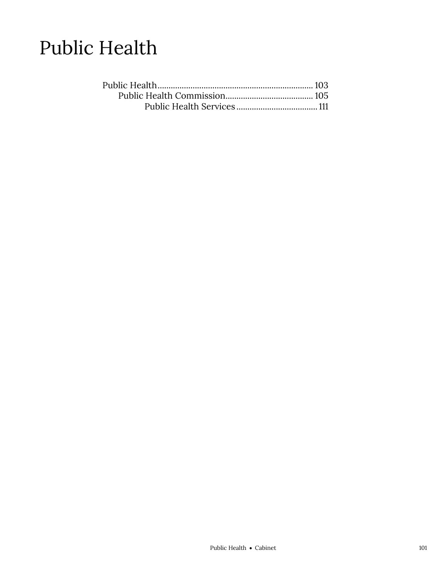# Public Health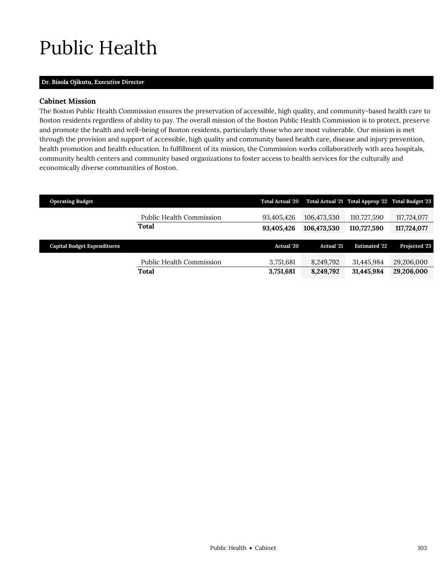# <span id="page-2-0"></span>Public Health

## **Dr. Bisola Ojikutu,** *Executive Director*

# **Cabinet Mission**

The Boston Public Health Commission ensures the preservation of accessible, high quality, and community-based health care to Boston residents regardless of ability to pay. The overall mission of the Boston Public Health Commission is to protect, preserve and promote the health and well-being of Boston residents, particularly those who are most vulnerable. Our mission is met through the provision and support of accessible, high quality and community based health care, disease and injury prevention, health promotion and health education. In fulfillment of its mission, the Commission works collaboratively with area hospitals, community health centers and community based organizations to foster access to health services for the culturally and economically diverse communities of Boston.

| <b>Operating Budget</b>            |                                 | <b>Total Actual '20</b> |                   | Total Actual '21 Total Approp '22 Total Budget '23 |               |
|------------------------------------|---------------------------------|-------------------------|-------------------|----------------------------------------------------|---------------|
|                                    | <b>Public Health Commission</b> | 93,405,426              | 106,473,530       | 110,727,590                                        | 117,724,077   |
|                                    | Total                           | 93,405,426              | 106,473,530       | 110,727,590                                        | 117,724,077   |
|                                    |                                 |                         |                   |                                                    |               |
|                                    |                                 |                         |                   |                                                    |               |
| <b>Capital Budget Expenditures</b> |                                 | Actual '20              | <b>Actual</b> '21 | <b>Estimated '22</b>                               | Projected '23 |
|                                    | Public Health Commission        | 3,751,681               | 8.249.792         | 31,445,984                                         | 29,206,000    |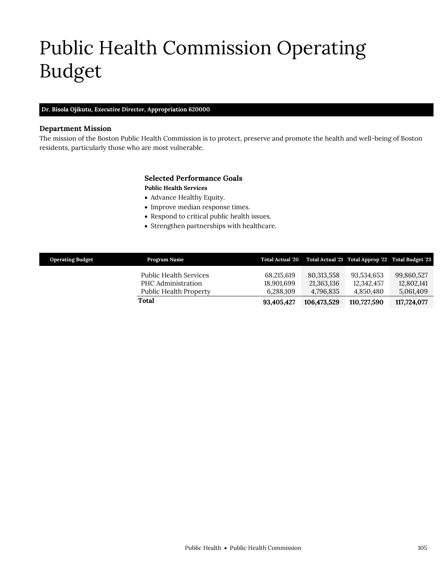# <span id="page-4-0"></span>Public Health Commission Operating Budget

## **Dr. Bisola Ojikutu,** *Executive Director,* **Appropriation 620000**

## **Department Mission**

The mission of the Boston Public Health Commission is to protect, preserve and promote the health and well-being of Boston residents, particularly those who are most vulnerable.

# **Selected Performance Goals**

## **Public Health Services**

- Advance Healthy Equity.
- Improve median response times.
- Respond to critical public health issues.
- Strengthen partnerships with healthcare.

| <b>Operating Budget</b> | Program Name                                                           | <b>Total Actual '20</b>               |                                       | Total Actual '21 Total Approp '22 Total Budget '23 |                                       |
|-------------------------|------------------------------------------------------------------------|---------------------------------------|---------------------------------------|----------------------------------------------------|---------------------------------------|
|                         | Public Health Services<br>PHC Administration<br>Public Health Property | 68.215.619<br>18.901.699<br>6,288,109 | 80,313,558<br>21,363,136<br>4,796,835 | 93,534,653<br>12.342.457<br>4,850,480              | 99,860,527<br>12,802,141<br>5,061,409 |
|                         | Total                                                                  | 93.405.427                            | 106.473.529                           | 110,727,590                                        | 117,724,077                           |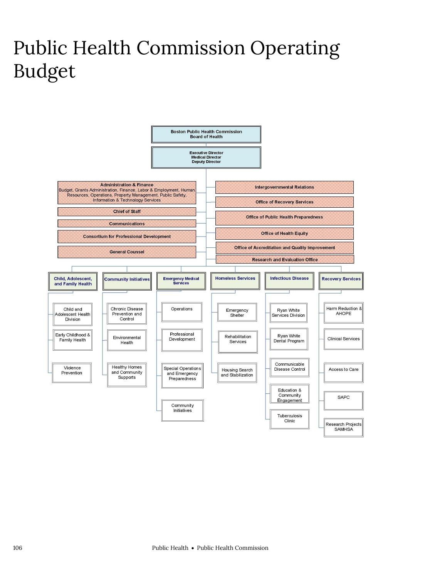# Public Health Commission Operating Budget

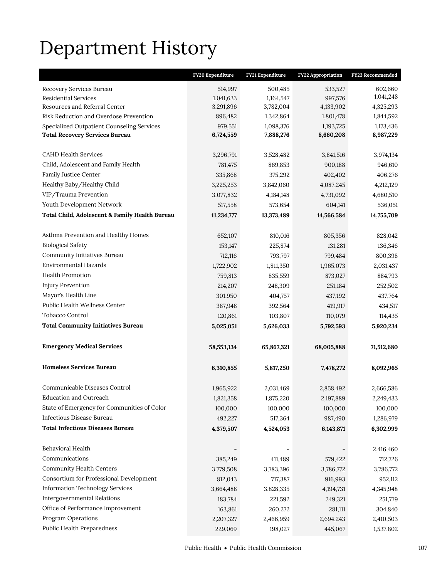# Department History

|                                                | FY20 Expenditure | FY21 Expenditure | <b>FY22 Appropriation</b> | FY23 Recommended |
|------------------------------------------------|------------------|------------------|---------------------------|------------------|
| Recovery Services Bureau                       | 514,997          | 500,485          | 533,527                   | 602,660          |
| <b>Residential Services</b>                    | 1,041,633        | 1,164,547        | 997,576                   | 1,041,248        |
| Resources and Referral Center                  | 3,291,896        | 3,782,004        | 4,133,902                 | 4,325,293        |
| Risk Reduction and Overdose Prevention         | 896,482          | 1,342,864        | 1,801,478                 | 1,844,592        |
| Specialized Outpatient Counseling Services     | 979,551          | 1,098,376        | 1,193,725                 | 1,173,436        |
| <b>Total Recovery Services Bureau</b>          | 6,724,559        | 7,888,276        | 8,660,208                 | 8,987,229        |
|                                                |                  |                  |                           |                  |
| <b>CAHD Health Services</b>                    | 3,296,791        | 3,528,482        | 3,841,516                 | 3,974,134        |
| Child, Adolescent and Family Health            | 781,475          | 869,853          | 900,188                   | 946,610          |
| Family Justice Center                          | 335,868          | 375,292          | 402,402                   | 406,276          |
| Healthy Baby/Healthy Child                     | 3,225,253        | 3,842,060        | 4,087,245                 | 4,212,129        |
| VIP/Trauma Prevention                          | 3,077,832        | 4,184,148        | 4,731,092                 | 4,680,510        |
| Youth Development Network                      | 517,558          | 573,654          | 604,141                   | 536,051          |
| Total Child, Adolescent & Family Health Bureau | 11,234,777       | 13,373,489       | 14,566,584                | 14,755,709       |
|                                                |                  |                  |                           |                  |
| Asthma Prevention and Healthy Homes            | 652,107          | 810,016          | 805,356                   | 828,042          |
| <b>Biological Safety</b>                       | 153,147          | 225,874          | 131,281                   | 136,346          |
| Community Initiatives Bureau                   | 712,116          | 793,797          | 799,484                   | 800,398          |
| Environmental Hazards                          | 1,722,902        | 1,811,350        | 1,965,073                 | 2,031,437        |
| Health Promotion                               | 759,813          | 835,559          | 873,027                   | 884,793          |
| <b>Injury Prevention</b>                       | 214,207          | 248,309          | 251,184                   | 252,502          |
| Mayor's Health Line                            | 301,950          | 404,757          | 437,192                   | 437,764          |
| Public Health Wellness Center                  | 387,948          | 392,564          | 419,917                   | 434,517          |
| Tobacco Control                                | 120,861          | 103,807          | 110,079                   | 114,435          |
| <b>Total Community Initiatives Bureau</b>      | 5,025,051        | 5,626,033        | 5,792,593                 | 5,920,234        |
|                                                |                  |                  |                           |                  |
| <b>Emergency Medical Services</b>              | 58, 553, 134     | 65,867,321       | 68,005,888                | 71,512,680       |
|                                                |                  |                  |                           |                  |
| <b>Homeless Services Bureau</b>                | 6,310,855        | 5,817,250        | 7,478,272                 | 8,092,965        |
|                                                |                  |                  |                           |                  |
| Communicable Diseases Control                  | 1,965,922        | 2,031,469        | 2,858,492                 | 2,666,586        |
| Education and Outreach                         | 1,821,358        | 1,875,220        | 2,197,889                 | 2,249,433        |
| State of Emergency for Communities of Color    | 100,000          | 100,000          | 100,000                   | 100,000          |
| Infectious Disease Bureau                      | 492,227          | 517,364          | 987,490                   | 1,286,979        |
| <b>Total Infectious Diseases Bureau</b>        | 4,379,507        | 4,524,053        | 6,143,871                 | 6,302,999        |
| Behavioral Health                              |                  |                  |                           | 2,416,460        |
| Communications                                 | 385,249          | 411,489          | 579,422                   | 712,726          |
| <b>Community Health Centers</b>                | 3,779,508        | 3,783,396        | 3,786,772                 | 3,786,772        |
| Consortium for Professional Development        | 812,043          | 717,387          | 916,993                   | 952,112          |
| <b>Information Technology Services</b>         | 3,664,488        | 3,828,335        | 4, 194, 731               | 4,345,948        |
| <b>Intergovernmental Relations</b>             | 183,784          | 221,592          | 249,321                   | 251,779          |
| Office of Performance Improvement              | 163,861          | 260,272          | 281,111                   | 304,840          |
| Program Operations                             | 2,207,327        | 2,466,959        | 2,694,243                 | 2,410,503        |
| Public Health Preparedness                     | 229,069          | 198,027          | 445,067                   | 1,537,802        |
|                                                |                  |                  |                           |                  |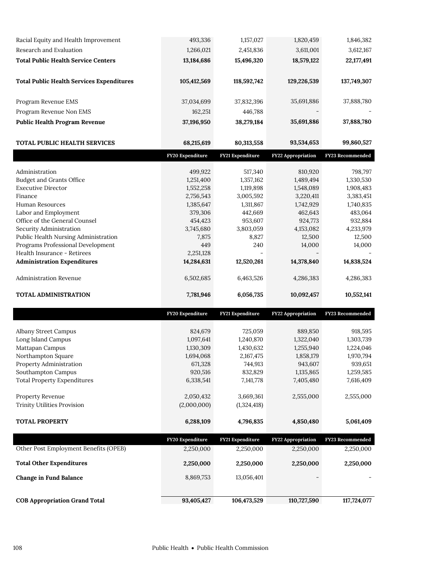| Racial Equity and Health Improvement             | 493,336                  | 1,157,027                | 1,820,459                 | 1,846,382            |
|--------------------------------------------------|--------------------------|--------------------------|---------------------------|----------------------|
| Research and Evaluation                          | 1,266,021                | 2,451,836                | 3,611,001                 | 3,612,167            |
| <b>Total Public Health Service Centers</b>       | 13,184,686               | 15,496,320               | 18,579,122                | 22,177,491           |
|                                                  |                          |                          |                           |                      |
| <b>Total Public Health Services Expenditures</b> | 105,412,569              | 118,592,742              | 129,226,539               | 137,749,307          |
|                                                  |                          |                          |                           |                      |
| Program Revenue EMS                              | 37,034,699               | 37,832,396               | 35,691,886                | 37,888,780           |
| Program Revenue Non EMS                          | 162,251                  | 446,788                  |                           |                      |
| <b>Public Health Program Revenue</b>             | 37,196,950               | 38,279,184               | 35,691,886                | 37,888,780           |
| TOTAL PUBLIC HEALTH SERVICES                     | 68,215,619               | 80,313,558               | 93,534,653                | 99,860,527           |
|                                                  | FY20 Expenditure         | FY21 Expenditure         | <b>FY22 Appropriation</b> | FY23 Recommended     |
|                                                  |                          |                          |                           |                      |
| Administration<br>Budget and Grants Office       | 499,922<br>1,251,400     | 517,340<br>1,357,162     | 810,920<br>1,489,494      | 798,797<br>1,330,530 |
| <b>Executive Director</b>                        | 1,552,258                | 1,119,898                | 1,548,089                 | 1,908,483            |
| Finance                                          | 2,756,543                | 3,005,592                | 3,220,411                 | 3,383,451            |
| <b>Human Resources</b>                           | 1,385,647                | 1,311,867                | 1,742,929                 | 1,740,835            |
| Labor and Employment                             | 379,306                  | 442,669                  | 462,643                   | 483,064              |
| Office of the General Counsel                    | 454,423                  | 953,607                  | 924,773                   | 932,884              |
| Security Administration                          | 3,745,680                | 3,803,059                | 4,153,082                 | 4,233,979            |
| Public Health Nursing Administration             | 7,875                    | 8,827                    | 12,500                    | 12,500               |
| Programs Professional Development                | 449                      | 240                      | 14,000                    | 14,000               |
| Health Insurance - Retirees                      | 2,251,128                |                          |                           |                      |
| <b>Administration Expenditures</b>               | 14,284,631               | 12,520,261               | 14,378,840                | 14,838,524           |
|                                                  |                          |                          |                           |                      |
| Administration Revenue                           | 6,502,685                | 6,463,526                | 4,286,383                 | 4,286,383            |
| TOTAL ADMINISTRATION                             | 7,781,946                | 6,056,735                | 10,092,457                | 10,552,141           |
|                                                  |                          |                          |                           |                      |
|                                                  | FY20 Expenditure         | FY21 Expenditure         | <b>FY22 Appropriation</b> | FY23 Recommended     |
| Albany Street Campus                             | 824,679                  | 725,059                  | 889,850                   | 918,595              |
| Long Island Campus                               | 1,097,641                | 1,240,870                | 1,322,040                 | 1,303,739            |
| Mattapan Campus                                  | 1,130,309                | 1,430,632                | 1,255,940                 | 1,224,046            |
| Northampton Square                               | 1,694,068                | 2,167,475                | 1,858,179                 | 1,970,794            |
| Property Administration                          | 671,328                  | 744,913                  | 943,607                   | 939,651              |
| Southampton Campus                               | 920,516                  | 832,829                  | 1,135,865                 | 1,259,585            |
| <b>Total Property Expenditures</b>               | 6,338,541                | 7,141,778                | 7,405,480                 | 7,616,409            |
|                                                  |                          |                          | 2,555,000                 |                      |
| Property Revenue<br>Trinity Utilities Provision  | 2,050,432<br>(2,000,000) | 3,669,361<br>(1,324,418) |                           | 2,555,000            |
|                                                  |                          |                          |                           |                      |
| <b>TOTAL PROPERTY</b>                            | 6,288,109                | 4,796,835                | 4,850,480                 | 5,061,409            |
|                                                  | FY20 Expenditure         | FY21 Expenditure         | FY22 Appropriation        | FY23 Recommended     |
| Other Post Employment Benefits (OPEB)            | 2,250,000                | 2,250,000                | 2,250,000                 | 2,250,000            |
| <b>Total Other Expenditures</b>                  | 2,250,000                | 2,250,000                | 2,250,000                 | 2,250,000            |
|                                                  |                          |                          |                           |                      |
| Change in Fund Balance                           | 8,869,753                | 13,056,401               |                           |                      |
| <b>COB Appropriation Grand Total</b>             | 93,405,427               | 106,473,529              | 110,727,590               | 117,724,077          |
|                                                  |                          |                          |                           |                      |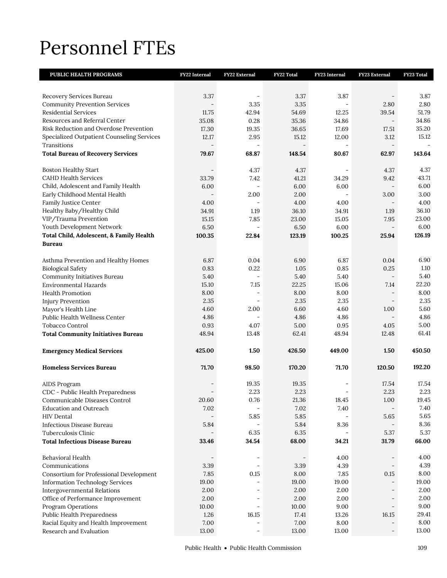# Personnel FTEs

| PUBLIC HEALTH PROGRAMS                              | FY22 Internal  | FY22 External            | FY22 Total   | FY23 Internal | FY23 External                    | FY23 Total    |
|-----------------------------------------------------|----------------|--------------------------|--------------|---------------|----------------------------------|---------------|
|                                                     |                |                          |              |               |                                  |               |
| Recovery Services Bureau                            | 3.37           |                          | 3.37         | 3.87          |                                  | 3.87          |
| <b>Community Prevention Services</b>                |                | 3.35                     | 3.35         |               | 2.80                             | 2.80          |
| <b>Residential Services</b>                         | 11.75          | 42.94                    | 54.69        | 12.25         | 39.54                            | 51.79         |
| Resources and Referral Center                       | 35.08          | 0.28                     | 35.36        | 34.86         | $\overline{\phantom{a}}$         | 34.86         |
| Risk Reduction and Overdose Prevention              | 17.30          | 19.35                    | 36.65        | 17.69         | 17.51                            | 35.20         |
| Specialized Outpatient Counseling Services          | 12.17          | 2.95                     | 15.12        | 12.00         | 3.12                             | 15.12         |
| Transitions                                         |                |                          |              |               | $\equiv$                         |               |
| <b>Total Bureau of Recovery Services</b>            | 79.67          | 68.87                    | 148.54       | 80.67         | 62.97                            | 143.64        |
|                                                     |                |                          |              |               |                                  |               |
| <b>Boston Healthy Start</b>                         |                | 4.37                     | 4.37         |               | 4.37                             | 4.37          |
| <b>CAHD Health Services</b>                         | 33.79          | 7.42                     | 41.21        | 34.29         | 9.42                             | 43.71         |
| Child, Adolescent and Family Health                 | 6.00           | $\overline{\phantom{a}}$ | 6.00         | 6.00          | $\overline{\phantom{a}}$         | 6.00          |
| Early Childhood Mental Health                       |                | 2.00                     | 2.00         |               | 3.00                             | 3.00          |
| Family Justice Center                               | 4.00           | $\overline{\phantom{m}}$ | 4.00         | 4.00          | $\overline{\phantom{a}}$         | 4.00          |
| Healthy Baby/Healthy Child<br>VIP/Trauma Prevention | 34.91          | 1.19                     | 36.10        | 34.91         | 1.19                             | 36.10         |
| Youth Development Network                           | 15.15          | 7.85                     | 23.00        | 15.05<br>6.00 | 7.95<br>$\overline{\phantom{a}}$ | 23.00<br>6.00 |
|                                                     | 6.50<br>100.35 |                          | 6.50         | 100.25        |                                  | 126.19        |
| Total Child, Adolescent, & Family Health            |                | 22.84                    | 123.19       |               | 25.94                            |               |
| <b>Bureau</b>                                       |                |                          |              |               |                                  |               |
| Asthma Prevention and Healthy Homes                 | 6.87           | 0.04                     | 6.90         | 6.87          | 0.04                             | 6.90          |
| <b>Biological Safety</b>                            | 0.83           | 0.22                     | 1.05         | 0.85          | 0.25                             | 1.10          |
| Community Initiatives Bureau                        | 5.40           |                          | 5.40         | 5.40          | $\overline{\phantom{a}}$         | 5.40          |
| <b>Environmental Hazards</b>                        | 15.10          | 7.15                     | 22.25        | 15.06         | 7.14                             | 22.20         |
| <b>Health Promotion</b>                             | 8.00           | $\overline{\phantom{a}}$ | 8.00         | 8.00          | $\overline{\phantom{a}}$         | 8.00          |
| <b>Injury Prevention</b>                            | 2.35           |                          | 2.35         | 2.35          | $\overline{\phantom{a}}$         | 2.35          |
| Mayor's Health Line                                 | 4.60           | 2.00                     | 6.60         | 4.60          | 1.00                             | 5.60          |
| Public Health Wellness Center                       | 4.86           | $\overline{\phantom{a}}$ | 4.86         | 4.86          | $\overline{\phantom{a}}$         | 4.86          |
| Tobacco Control                                     | 0.93           | 4.07                     | 5.00         | 0.95          | 4.05                             | 5.00          |
| <b>Total Community Initiatives Bureau</b>           | 48.94          | 13.48                    | 62.41        | 48.94         | 12.48                            | 61.41         |
|                                                     |                |                          |              |               |                                  |               |
| <b>Emergency Medical Services</b>                   | 425.00         | 1.50                     | 426.50       | 449.00        | 1.50                             | 450.50        |
| <b>Homeless Services Bureau</b>                     | 71.70          | 98.50                    | 170.20       | 71.70         | 120.50                           | 192.20        |
|                                                     |                |                          |              |               |                                  |               |
| AIDS Program                                        |                | 19.35                    | 19.35        | Ξ             | 17.54                            | 17.54         |
| CDC - Public Health Preparedness                    | $\equiv$       | 2.23                     | 2.23         | ۳             | 2.23                             | 2.23          |
| Communicable Diseases Control                       | 20.60          | $0.76\,$                 | 21.36        | 18.45         | $1.00\,$                         | 19.45         |
| <b>Education and Outreach</b>                       | 7.02           | 5.85                     | 7.02<br>5.85 | 7.40          | 5.65                             | 7.40<br>5.65  |
| <b>HIV</b> Dental<br>Infectious Disease Bureau      | 5.84           |                          | 5.84         | 8.36          |                                  | 8.36          |
| Tuberculosis Clinic                                 |                | 6.35                     | 6.35         |               | 5.37                             | 5.37          |
| <b>Total Infectious Disease Bureau</b>              | 33.46          | 34.54                    | 68.00        | 34.21         | 31.79                            | 66.00         |
|                                                     |                |                          |              |               |                                  |               |
| Behavioral Health                                   |                |                          |              | 4.00          |                                  | 4.00          |
| Communications                                      | 3.39           |                          | 3.39         | 4.39          |                                  | 4.39          |
| Consortium for Professional Development             | 7.85           | 0.15                     | 8.00         | 7.85          | 0.15                             | 8.00          |
| <b>Information Technology Services</b>              | 19.00          |                          | 19.00        | 19.00         |                                  | 19.00         |
| <b>Intergovernmental Relations</b>                  | 2.00           |                          | 2.00         | 2.00          |                                  | 2.00          |
| Office of Performance Improvement                   | 2.00           |                          | 2.00         | 2.00          |                                  | 2.00          |
| Program Operations                                  | 10.00          | L.                       | 10.00        | 9.00          | $\overline{\phantom{a}}$         | 9.00          |
| Public Health Preparedness                          | 1.26           | 16.15                    | 17.41        | 13.26         | 16.15                            | 29.41         |
| Racial Equity and Health Improvement                | 7.00           |                          | 7.00         | 8.00          | $\overline{\phantom{0}}$         | 8.00          |
| Research and Evaluation                             | 13.00          |                          | 13.00        | 13.00         | -                                | 13.00         |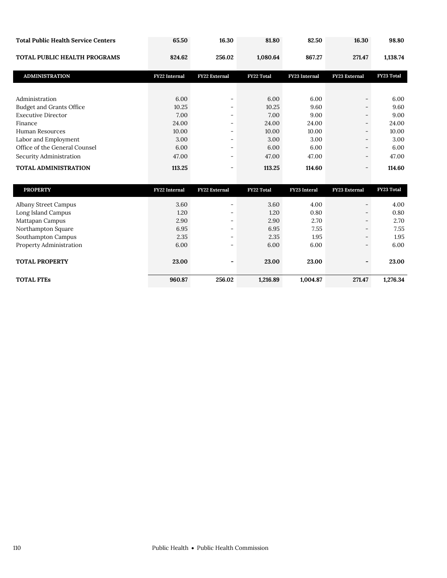| <b>Total Public Health Service Centers</b> | 65.50                | 16.30                    | 81.80             | 82.50               | 16.30         | 98.80             |
|--------------------------------------------|----------------------|--------------------------|-------------------|---------------------|---------------|-------------------|
| TOTAL PUBLIC HEALTH PROGRAMS               | 824.62               | 256.02                   | 1,080.64          | 867.27              | 271.47        | 1,138.74          |
| <b>ADMINISTRATION</b>                      | <b>FY22</b> Internal | FY22 External            | <b>FY22 Total</b> | FY23 Internal       | FY23 External | FY23 Total        |
|                                            |                      |                          |                   |                     |               |                   |
| Administration                             | 6.00                 | $\overline{\phantom{a}}$ | 6.00              | 6.00                |               | 6.00              |
| Budget and Grants Office                   | 10.25                |                          | 10.25             | 9.60                |               | 9.60              |
| <b>Executive Director</b>                  | 7.00                 | ۰                        | 7.00              | 9.00                |               | 9.00              |
| Finance                                    | 24.00                | ۰                        | 24.00             | 24.00               |               | 24.00             |
| Human Resources                            | 10.00                |                          | 10.00             | 10.00               |               | 10.00             |
| Labor and Employment                       | 3.00                 | $\equiv$                 | 3.00              | 3.00                |               | 3.00              |
| Office of the General Counsel              | 6.00                 | $\equiv$                 | 6.00              | 6.00                |               | 6.00              |
| Security Administration                    | 47.00                | -                        | 47.00             | 47.00               |               | 47.00             |
| TOTAL ADMINISTRATION                       | 113.25               | ۰                        | 113.25            | 114.60              |               | 114.60            |
| <b>PROPERTY</b>                            | FY22 Internal        | <b>FY22 External</b>     | <b>FY22 Total</b> | <b>FY23</b> Interal | FY23 External | <b>FY23 Total</b> |
| Albany Street Campus                       | 3.60                 |                          | 3.60              | 4.00                |               | 4.00              |
| Long Island Campus                         | 1.20                 | -                        | 1.20              | 0.80                |               | 0.80              |

Mattapan Campus 2.90 2.90 - 2.90 2.70 2.70 2.70 Northampton Square 6.95 6.95 - 6.95 7.55 7.55 7.55 Southampton Campus 2.35 2.35 - 2.35 1.95 1.95 Property Administration 6.00 6.00 - 6.00 6.00 6.00 6.00

**TOTAL PROPERTY 23.00 - 23.00 23.00 - 23.00** 

**TOTAL FTEs 960.87 256.02 1,216.89 1,004.87 271.47 1,276.34**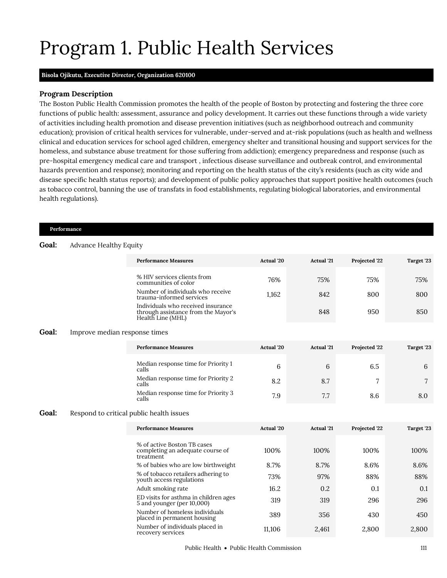# <span id="page-10-0"></span>Program 1. Public Health Services

## **Bisola Ojikutu,** *Executive Director,* **Organization 620100**

## **Program Description**

The Boston Public Health Commission promotes the health of the people of Boston by protecting and fostering the three core functions of public health: assessment, assurance and policy development. It carries out these functions through a wide variety of activities including health promotion and disease prevention initiatives (such as neighborhood outreach and community education); provision of critical health services for vulnerable, under-served and at-risk populations (such as health and wellness clinical and education services for school aged children, emergency shelter and transitional housing and support services for the homeless, and substance abuse treatment for those suffering from addiction); emergency preparedness and response (such as pre-hospital emergency medical care and transport , infectious disease surveillance and outbreak control, and environmental hazards prevention and response); monitoring and reporting on the health status of the city's residents (such as city wide and disease specific health status reports); and development of public policy approaches that support positive health outcomes (such as tobacco control, banning the use of transfats in food establishments, regulating biological laboratories, and environmental health regulations).

#### **Performance**

## **Goal:** Advance Healthy Equity

| <b>Performance Measures</b>                                                                    | Actual '20 | <b>Actual</b> '21 | Projected '22 | Target '23 |
|------------------------------------------------------------------------------------------------|------------|-------------------|---------------|------------|
| % HIV services clients from<br>communities of color                                            | 76%        | 75%               | 75%           | 75%        |
| Number of individuals who receive<br>trauma-informed services                                  | 1.162      | 842               | 800           | 800        |
| Individuals who received insurance<br>through assistance from the Mayor's<br>Health Line (MHL) |            | 848               | 950           | 850        |

## **Goal:** Improve median response times

| <b>Performance Measures</b>                  | <b>Actual</b> '20 | <b>Actual</b> '21 | Projected '22 | Target '23 |
|----------------------------------------------|-------------------|-------------------|---------------|------------|
| Median response time for Priority 1<br>calls | 6                 | 6                 | 6.5           | 6          |
| Median response time for Priority 2<br>calls | 8.2               | 8.7               |               |            |
| Median response time for Priority 3<br>calls | 7.9               | 7.7               | 8.6           | 8.0        |

## Goal: Respond to critical public health issues

| <b>Performance Measures</b>                                                  | Actual '20 | <b>Actual</b> '21 | Projected '22 | Target '23 |
|------------------------------------------------------------------------------|------------|-------------------|---------------|------------|
|                                                                              |            |                   |               |            |
| % of active Boston TB cases<br>completing an adequate course of<br>treatment | 100%       | 100\%             | 100%          | 100%       |
| % of babies who are low birthweight                                          | 8.7%       | 8.7%              | 8.6%          | 8.6%       |
| % of tobacco retailers adhering to<br>youth access regulations               | 73%        | 97%               | 88%           | 88%        |
| Adult smoking rate                                                           | 16.2       | 0.2               | 0.1           | 0.1        |
| ED visits for asthma in children ages<br>5 and younger (per 10,000)          | 319        | 319               | 296           | 296        |
| Number of homeless individuals<br>placed in permanent housing                | 389        | 356               | 430           | 450        |
| Number of individuals placed in<br>recovery services                         | 11.106     | 2,461             | 2.800         | 2,800      |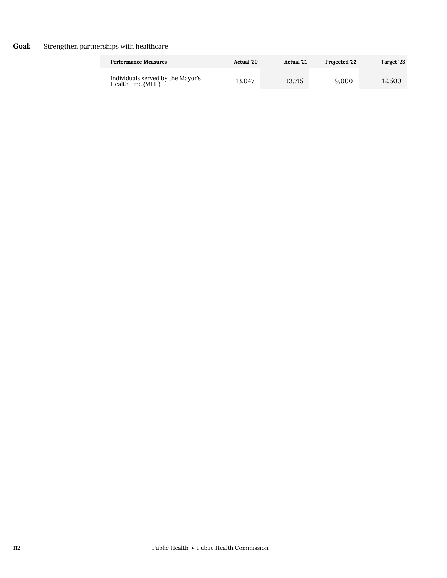# **Goal:** Strengthen partnerships with healthcare

| <b>Performance Measures</b>                            | <b>Actual</b> '20 | <b>Actual</b> '21 | <b>Projected 22</b> | Target '23 |
|--------------------------------------------------------|-------------------|-------------------|---------------------|------------|
| Individuals served by the Mayor's<br>Health Line (MHL) | 13.047            | 13.715            | 9.000               | 12.500     |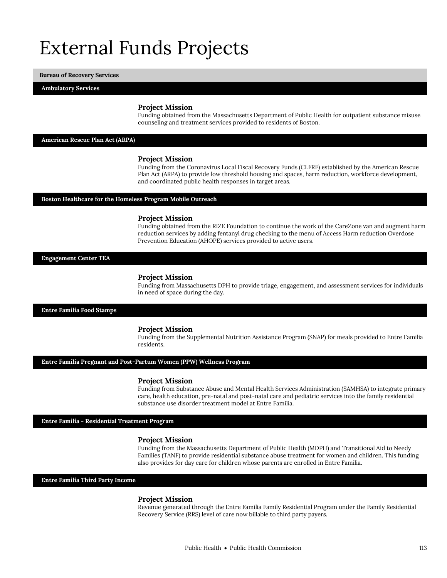# External Funds Projects

**Bureau of Recovery Services**

**Ambulatory Services**

## **Project Mission**

Funding obtained from the Massachusetts Department of Public Health for outpatient substance misuse counseling and treatment services provided to residents of Boston.

## **American Rescue Plan Act (ARPA)**

## **Project Mission**

Funding from the Coronavirus Local Fiscal Recovery Funds (CLFRF) established by the American Rescue Plan Act (ARPA) to provide low threshold housing and spaces, harm reduction, workforce development, and coordinated public health responses in target areas.

## **Boston Healthcare for the Homeless Program Mobile Outreach**

#### **Project Mission**

Funding obtained from the RIZE Foundation to continue the work of the CareZone van and augment harm reduction services by adding fentanyl drug checking to the menu of Access Harm reduction Overdose Prevention Education (AHOPE) services provided to active users.

**Engagement Center TEA**

## **Project Mission**

Funding from Massachusetts DPH to provide triage, engagement, and assessment services for individuals in need of space during the day.

## **Entre Familia Food Stamps**

## **Project Mission**

Funding from the Supplemental Nutrition Assistance Program (SNAP) for meals provided to Entre Familia residents.

## **Entre Familia Pregnant and Post-Partum Women (PPW) Wellness Program**

## **Project Mission**

Funding from Substance Abuse and Mental Health Services Administration (SAMHSA) to integrate primary care, health education, pre-natal and post-natal care and pediatric services into the family residential substance use disorder treatment model at Entre Familia.

## **Entre Familia - Residential Treatment Program**

### **Project Mission**

Funding from the Massachusetts Department of Public Health (MDPH) and Transitional Aid to Needy Families (TANF) to provide residential substance abuse treatment for women and children. This funding also provides for day care for children whose parents are enrolled in Entre Familia.

## **Entre Familia Third Party Income**

#### **Project Mission**

Revenue generated through the Entre Familia Family Residential Program under the Family Residential Recovery Service (RRS) level of care now billable to third party payers.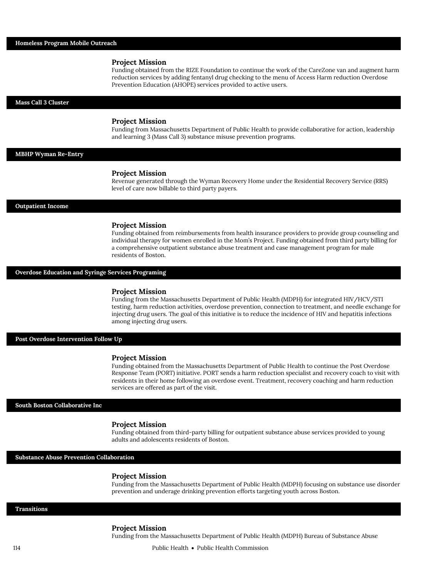Funding obtained from the RIZE Foundation to continue the work of the CareZone van and augment harm reduction services by adding fentanyl drug checking to the menu of Access Harm reduction Overdose Prevention Education (AHOPE) services provided to active users.

**Mass Call 3 Cluster**

## **Project Mission**

Funding from Massachusetts Department of Public Health to provide collaborative for action, leadership and learning 3 (Mass Call 3) substance misuse prevention programs.

## **MBHP Wyman Re-Entry**

#### **Project Mission**

Revenue generated through the Wyman Recovery Home under the Residential Recovery Service (RRS) level of care now billable to third party payers.

#### **Outpatient Income**

## **Project Mission**

Funding obtained from reimbursements from health insurance providers to provide group counseling and individual therapy for women enrolled in the Mom's Project. Funding obtained from third party billing for a comprehensive outpatient substance abuse treatment and case management program for male residents of Boston.

## **Overdose Education and Syringe Services Programing**

## **Project Mission**

Funding from the Massachusetts Department of Public Health (MDPH) for integrated HIV/HCV/STI testing, harm reduction activities, overdose prevention, connection to treatment, and needle exchange for injecting drug users. The goal of this initiative is to reduce the incidence of HIV and hepatitis infections among injecting drug users.

#### **Post Overdose Intervention Follow Up**

### **Project Mission**

Funding obtained from the Massachusetts Department of Public Health to continue the Post Overdose Response Team (PORT) initiative. PORT sends a harm reduction specialist and recovery coach to visit with residents in their home following an overdose event. Treatment, recovery coaching and harm reduction services are offered as part of the visit.

## **South Boston Collaborative Inc**

## **Project Mission**

Funding obtained from third-party billing for outpatient substance abuse services provided to young adults and adolescents residents of Boston.

**Substance Abuse Prevention Collaboration**

## **Project Mission**

Funding from the Massachusetts Department of Public Health (MDPH) focusing on substance use disorder prevention and underage drinking prevention efforts targeting youth across Boston.

#### **Transitions**

#### **Project Mission**

Funding from the Massachusetts Department of Public Health (MDPH) Bureau of Substance Abuse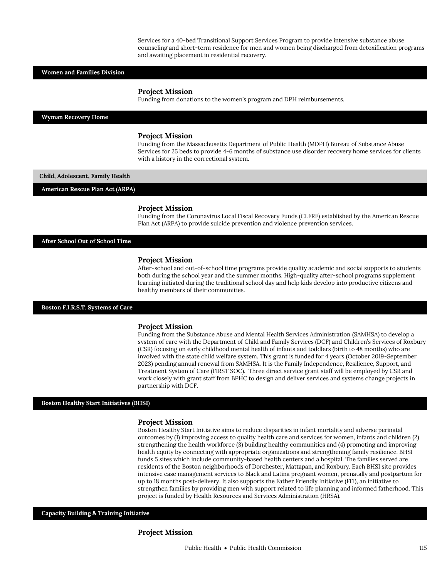Services for a 40-bed Transitional Support Services Program to provide intensive substance abuse counseling and short-term residence for men and women being discharged from detoxification programs and awaiting placement in residential recovery.

## **Women and Families Division**

#### **Project Mission**

Funding from donations to the women's program and DPH reimbursements.

#### **Wyman Recovery Home**

#### **Project Mission**

Funding from the Massachusetts Department of Public Health (MDPH) Bureau of Substance Abuse Services for 25 beds to provide 4-6 months of substance use disorder recovery home services for clients with a history in the correctional system.

**Child, Adolescent, Family Health**

**American Rescue Plan Act (ARPA)**

## **Project Mission**

Funding from the Coronavirus Local Fiscal Recovery Funds (CLFRF) established by the American Rescue Plan Act (ARPA) to provide suicide prevention and violence prevention services.

## **After School Out of School Time**

### **Project Mission**

After-school and out-of-school time programs provide quality academic and social supports to students both during the school year and the summer months. High-quality after-school programs supplement learning initiated during the traditional school day and help kids develop into productive citizens and healthy members of their communities.

#### **Boston F.I.R.S.T. Systems of Care**

#### **Project Mission**

Funding from the Substance Abuse and Mental Health Services Administration (SAMHSA) to develop a system of care with the Department of Child and Family Services (DCF) and Children's Services of Roxbury (CSR) focusing on early childhood mental health of infants and toddlers (birth to 48 months) who are involved with the state child welfare system. This grant is funded for 4 years (October 2019-September 2023) pending annual renewal from SAMHSA. It is the Family Independence, Resilience, Support, and Treatment System of Care (FIRST SOC). Three direct service grant staff will be employed by CSR and work closely with grant staff from BPHC to design and deliver services and systems change projects in partnership with DCF.

## **Boston Healthy Start Initiatives (BHSI)**

## **Project Mission**

Boston Healthy Start Initiative aims to reduce disparities in infant mortality and adverse perinatal outcomes by (1) improving access to quality health care and services for women, infants and children (2) strengthening the health workforce (3) building healthy communities and (4) promoting and improving health equity by connecting with appropriate organizations and strengthening family resilience. BHSI funds 5 sites which include community-based health centers and a hospital. The families served are residents of the Boston neighborhoods of Dorchester, Mattapan, and Roxbury. Each BHSI site provides intensive case management services to Black and Latina pregnant women, prenatally and postpartum for up to 18 months post-delivery. It also supports the Father Friendly Initiative (FFI), an initiative to strengthen families by providing men with support related to life planning and informed fatherhood. This project is funded by Health Resources and Services Administration (HRSA).

## **Capacity Building & Training Initiative**

## **Project Mission**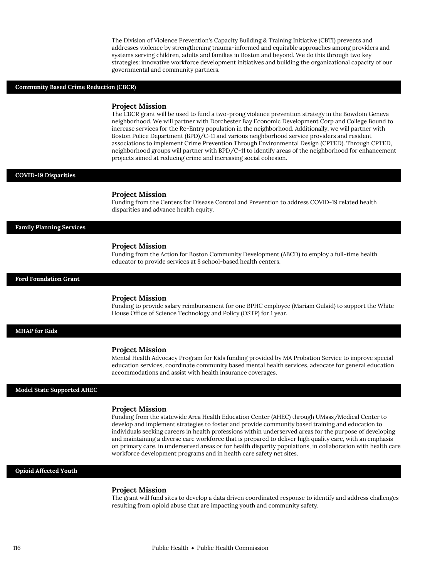The Division of Violence Prevention's Capacity Building & Training Initiative (CBTI) prevents and addresses violence by strengthening trauma-informed and equitable approaches among providers and systems serving children, adults and families in Boston and beyond. We do this through two key strategies: innovative workforce development initiatives and building the organizational capacity of our governmental and community partners.

## **Community Based Crime Reduction (CBCR)**

#### **Project Mission**

The CBCR grant will be used to fund a two-prong violence prevention strategy in the Bowdoin Geneva neighborhood. We will partner with Dorchester Bay Economic Development Corp and College Bound to increase services for the Re-Entry population in the neighborhood. Additionally, we will partner with Boston Police Department (BPD)/C-11 and various neighborhood service providers and resident associations to implement Crime Prevention Through Environmental Design (CPTED). Through CPTED, neighborhood groups will partner with BPD/C-11 to identify areas of the neighborhood for enhancement projects aimed at reducing crime and increasing social cohesion.

## **COVID-19 Disparities**

#### **Project Mission**

Funding from the Centers for Disease Control and Prevention to address COVID-19 related health disparities and advance health equity.

## **Family Planning Services**

#### **Project Mission**

Funding from the Action for Boston Community Development (ABCD) to employ a full-time health educator to provide services at 8 school-based health centers.

#### **Ford Foundation Grant**

#### **Project Mission**

Funding to provide salary reimbursement for one BPHC employee (Mariam Gulaid) to support the White House Office of Science Technology and Policy (OSTP) for 1 year.

## **MHAP for Kids**

#### **Project Mission**

Mental Health Advocacy Program for Kids funding provided by MA Probation Service to improve special education services, coordinate community based mental health services, advocate for general education accommodations and assist with health insurance coverages.

## **Model State Supported AHEC**

## **Project Mission**

Funding from the statewide Area Health Education Center (AHEC) through UMass/Medical Center to develop and implement strategies to foster and provide community based training and education to individuals seeking careers in health professions within underserved areas for the purpose of developing and maintaining a diverse care workforce that is prepared to deliver high quality care, with an emphasis on primary care, in underserved areas or for health disparity populations, in collaboration with health care workforce development programs and in health care safety net sites.

## **Opioid Affected Youth**

## **Project Mission**

The grant will fund sites to develop a data driven coordinated response to identify and address challenges resulting from opioid abuse that are impacting youth and community safety.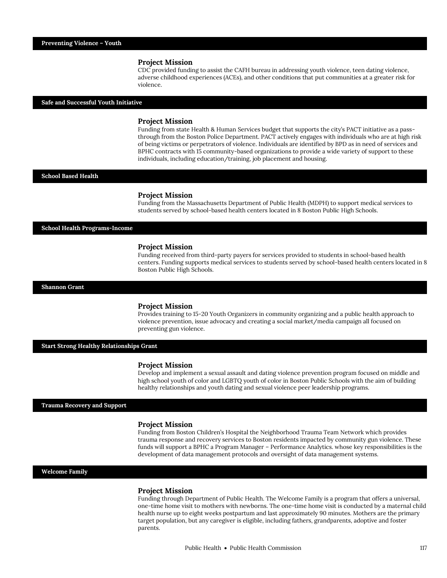CDC provided funding to assist the CAFH bureau in addressing youth violence, teen dating violence, adverse childhood experiences (ACEs), and other conditions that put communities at a greater risk for violence.

## **Safe and Successful Youth Initiative**

## **Project Mission**

Funding from state Health & Human Services budget that supports the city's PACT initiative as a passthrough from the Boston Police Department. PACT actively engages with individuals who are at high risk of being victims or perpetrators of violence. Individuals are identified by BPD as in need of services and BPHC contracts with 15 community-based organizations to provide a wide variety of support to these individuals, including education/training, job placement and housing.

## **School Based Health**

## **Project Mission**

Funding from the Massachusetts Department of Public Health (MDPH) to support medical services to students served by school-based health centers located in 8 Boston Public High Schools.

## **School Health Programs-Income**

## **Project Mission**

Funding received from third-party payers for services provided to students in school-based health centers. Funding supports medical services to students served by school-based health centers located in 8 Boston Public High Schools.

#### **Shannon Grant**

## **Project Mission**

Provides training to 15-20 Youth Organizers in community organizing and a public health approach to violence prevention, issue advocacy and creating a social market/media campaign all focused on preventing gun violence.

## **Start Strong Healthy Relationships Grant**

#### **Project Mission**

Develop and implement a sexual assault and dating violence prevention program focused on middle and high school youth of color and LGBTQ youth of color in Boston Public Schools with the aim of building healthy relationships and youth dating and sexual violence peer leadership programs.

## **Trauma Recovery and Support**

## **Project Mission**

Funding from Boston Children's Hospital the Neighborhood Trauma Team Network which provides trauma response and recovery services to Boston residents impacted by community gun violence. These funds will support a BPHC a Program Manager – Performance Analytics. whose key responsibilities is the development of data management protocols and oversight of data management systems.

## **Welcome Family**

#### **Project Mission**

Funding through Department of Public Health. The Welcome Family is a program that offers a universal, one-time home visit to mothers with newborns. The one-time home visit is conducted by a maternal child health nurse up to eight weeks postpartum and last approximately 90 minutes. Mothers are the primary target population, but any caregiver is eligible, including fathers, grandparents, adoptive and foster parents.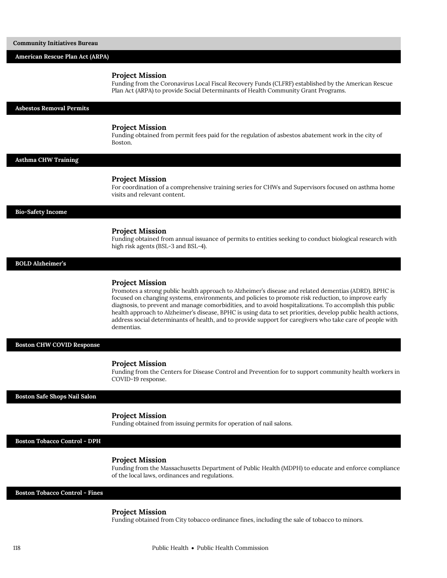| American Rescue Plan Act (ARPA)       |                                                                                                                                                                                                                                                                                                                                                                                                                                                                                                                                                                                               |
|---------------------------------------|-----------------------------------------------------------------------------------------------------------------------------------------------------------------------------------------------------------------------------------------------------------------------------------------------------------------------------------------------------------------------------------------------------------------------------------------------------------------------------------------------------------------------------------------------------------------------------------------------|
|                                       | <b>Project Mission</b><br>Funding from the Coronavirus Local Fiscal Recovery Funds (CLFRF) established by the American Rescue<br>Plan Act (ARPA) to provide Social Determinants of Health Community Grant Programs.                                                                                                                                                                                                                                                                                                                                                                           |
| <b>Asbestos Removal Permits</b>       |                                                                                                                                                                                                                                                                                                                                                                                                                                                                                                                                                                                               |
|                                       | <b>Project Mission</b><br>Funding obtained from permit fees paid for the regulation of asbestos abatement work in the city of<br>Boston.                                                                                                                                                                                                                                                                                                                                                                                                                                                      |
| <b>Asthma CHW Training</b>            |                                                                                                                                                                                                                                                                                                                                                                                                                                                                                                                                                                                               |
|                                       | <b>Project Mission</b><br>For coordination of a comprehensive training series for CHWs and Supervisors focused on asthma home<br>visits and relevant content.                                                                                                                                                                                                                                                                                                                                                                                                                                 |
| <b>Bio-Safety Income</b>              |                                                                                                                                                                                                                                                                                                                                                                                                                                                                                                                                                                                               |
|                                       | <b>Project Mission</b><br>Funding obtained from annual issuance of permits to entities seeking to conduct biological research with<br>high risk agents (BSL-3 and BSL-4).                                                                                                                                                                                                                                                                                                                                                                                                                     |
| <b>BOLD Alzheimer's</b>               |                                                                                                                                                                                                                                                                                                                                                                                                                                                                                                                                                                                               |
|                                       | <b>Project Mission</b><br>Promotes a strong public health approach to Alzheimer's disease and related dementias (ADRD). BPHC is<br>focused on changing systems, environments, and policies to promote risk reduction, to improve early<br>diagnosis, to prevent and manage comorbidities, and to avoid hospitalizations. To accomplish this public<br>health approach to Alzheimer's disease, BPHC is using data to set priorities, develop public health actions,<br>address social determinants of health, and to provide support for caregivers who take care of people with<br>dementias. |
| <b>Boston CHW COVID Response</b>      |                                                                                                                                                                                                                                                                                                                                                                                                                                                                                                                                                                                               |
|                                       | <b>Project Mission</b><br>Funding from the Centers for Disease Control and Prevention for to support community health workers in<br>COVID-19 response.                                                                                                                                                                                                                                                                                                                                                                                                                                        |
| Boston Safe Shops Nail Salon          |                                                                                                                                                                                                                                                                                                                                                                                                                                                                                                                                                                                               |
|                                       | <b>Project Mission</b><br>Funding obtained from issuing permits for operation of nail salons.                                                                                                                                                                                                                                                                                                                                                                                                                                                                                                 |
| <b>Boston Tobacco Control - DPH</b>   |                                                                                                                                                                                                                                                                                                                                                                                                                                                                                                                                                                                               |
|                                       | <b>Project Mission</b><br>Funding from the Massachusetts Department of Public Health (MDPH) to educate and enforce compliance<br>of the local laws, ordinances and regulations.                                                                                                                                                                                                                                                                                                                                                                                                               |
| <b>Boston Tobacco Control - Fines</b> |                                                                                                                                                                                                                                                                                                                                                                                                                                                                                                                                                                                               |

Funding obtained from City tobacco ordinance fines, including the sale of tobacco to minors.

**Community Initiatives Bureau**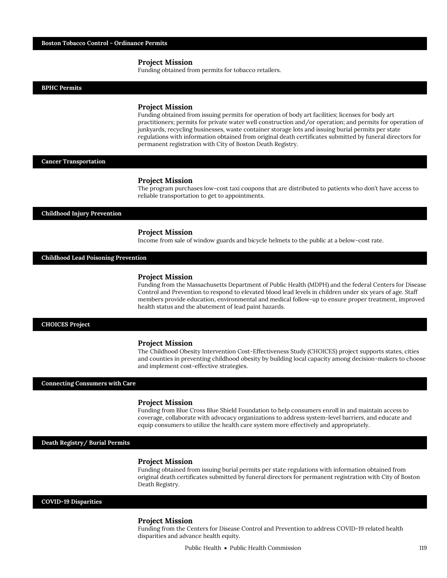Funding obtained from permits for tobacco retailers.

**BPHC Permits**

### **Project Mission**

Funding obtained from issuing permits for operation of body art facilities; licenses for body art practitioners; permits for private water well construction and/or operation; and permits for operation of junkyards, recycling businesses, waste container storage lots and issuing burial permits per state regulations with information obtained from original death certificates submitted by funeral directors for permanent registration with City of Boston Death Registry.

## **Cancer Transportation**

#### **Project Mission**

The program purchases low-cost taxi coupons that are distributed to patients who don't have access to reliable transportation to get to appointments.

### **Childhood Injury Prevention**

## **Project Mission**

Income from sale of window guards and bicycle helmets to the public at a below-cost rate.

## **Childhood Lead Poisoning Prevention**

### **Project Mission**

Funding from the Massachusetts Department of Public Health (MDPH) and the federal Centers for Disease Control and Prevention to respond to elevated blood lead levels in children under six years of age. Staff members provide education, environmental and medical follow-up to ensure proper treatment, improved health status and the abatement of lead paint hazards.

## **CHOICES Project**

#### **Project Mission**

The Childhood Obesity Intervention Cost-Effectiveness Study (CHOICES) project supports states, cities and counties in preventing childhood obesity by building local capacity among decision-makers to choose and implement cost-effective strategies.

#### **Connecting Consumers with Care**

## **Project Mission**

Funding from Blue Cross Blue Shield Foundation to help consumers enroll in and maintain access to coverage, collaborate with advocacy organizations to address system-level barriers, and educate and equip consumers to utilize the health care system more effectively and appropriately.

## **Death Registry/ Burial Permits**

#### **Project Mission**

Funding obtained from issuing burial permits per state regulations with information obtained from original death certificates submitted by funeral directors for permanent registration with City of Boston Death Registry.

## **COVID-19 Disparities**

## **Project Mission**

Funding from the Centers for Disease Control and Prevention to address COVID-19 related health disparities and advance health equity.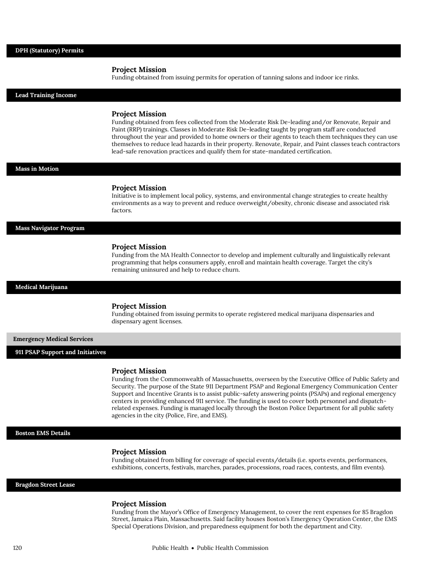Funding obtained from issuing permits for operation of tanning salons and indoor ice rinks.

| <b>Lead Training Income</b>       |                                                                                                                                                                                                                                                                                                                                                                                                                                                                                                                                                                                                                      |
|-----------------------------------|----------------------------------------------------------------------------------------------------------------------------------------------------------------------------------------------------------------------------------------------------------------------------------------------------------------------------------------------------------------------------------------------------------------------------------------------------------------------------------------------------------------------------------------------------------------------------------------------------------------------|
|                                   | <b>Project Mission</b><br>Funding obtained from fees collected from the Moderate Risk De-leading and/or Renovate, Repair and<br>Paint (RRP) trainings. Classes in Moderate Risk De-leading taught by program staff are conducted<br>throughout the year and provided to home owners or their agents to teach them techniques they can use<br>themselves to reduce lead hazards in their property. Renovate, Repair, and Paint classes teach contractors<br>lead-safe renovation practices and qualify them for state-mandated certification.                                                                         |
| Mass in Motion                    |                                                                                                                                                                                                                                                                                                                                                                                                                                                                                                                                                                                                                      |
|                                   | <b>Project Mission</b><br>Initiative is to implement local policy, systems, and environmental change strategies to create healthy<br>environments as a way to prevent and reduce overweight/obesity, chronic disease and associated risk<br>factors.                                                                                                                                                                                                                                                                                                                                                                 |
| <b>Mass Navigator Program</b>     |                                                                                                                                                                                                                                                                                                                                                                                                                                                                                                                                                                                                                      |
|                                   | <b>Project Mission</b><br>Funding from the MA Health Connector to develop and implement culturally and linguistically relevant<br>programming that helps consumers apply, enroll and maintain health coverage. Target the city's<br>remaining uninsured and help to reduce churn.                                                                                                                                                                                                                                                                                                                                    |
| <b>Medical Marijuana</b>          |                                                                                                                                                                                                                                                                                                                                                                                                                                                                                                                                                                                                                      |
|                                   | <b>Project Mission</b><br>Funding obtained from issuing permits to operate registered medical marijuana dispensaries and<br>dispensary agent licenses.                                                                                                                                                                                                                                                                                                                                                                                                                                                               |
| <b>Emergency Medical Services</b> |                                                                                                                                                                                                                                                                                                                                                                                                                                                                                                                                                                                                                      |
| 911 PSAP Support and Initiatives  |                                                                                                                                                                                                                                                                                                                                                                                                                                                                                                                                                                                                                      |
|                                   | <b>Project Mission</b><br>Funding from the Commonwealth of Massachusetts, overseen by the Executive Office of Public Safety and<br>Security. The purpose of the State 911 Department PSAP and Regional Emergency Communication Center<br>Support and Incentive Grants is to assist public-safety answering points (PSAPs) and regional emergency<br>centers in providing enhanced 911 service. The funding is used to cover both personnel and dispatch-<br>related expenses. Funding is managed locally through the Boston Police Department for all public safety<br>agencies in the city (Police, Fire, and EMS). |
| <b>Boston EMS Details</b>         |                                                                                                                                                                                                                                                                                                                                                                                                                                                                                                                                                                                                                      |
|                                   | <b>Project Mission</b><br>Funding obtained from billing for coverage of special events/details (i.e. sports events, performances,<br>exhibitions, concerts, festivals, marches, parades, processions, road races, contests, and film events).                                                                                                                                                                                                                                                                                                                                                                        |
| <b>Bragdon Street Lease</b>       |                                                                                                                                                                                                                                                                                                                                                                                                                                                                                                                                                                                                                      |

## **Project Mission**

Funding from the Mayor's Office of Emergency Management, to cover the rent expenses for 85 Bragdon Street, Jamaica Plain, Massachusetts. Said facility houses Boston's Emergency Operation Center, the EMS Special Operations Division, and preparedness equipment for both the department and City.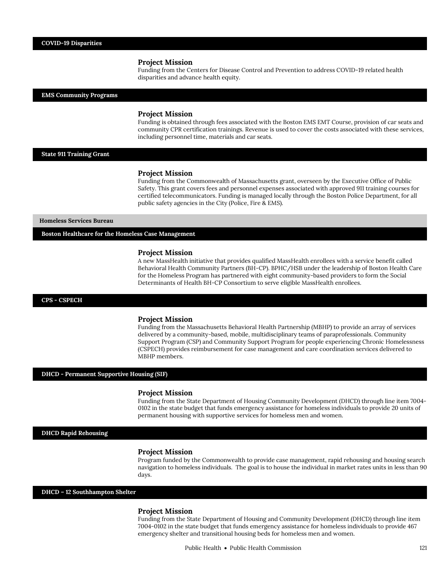Funding from the Centers for Disease Control and Prevention to address COVID-19 related health disparities and advance health equity.

## **EMS Community Programs**

## **Project Mission**

Funding is obtained through fees associated with the Boston EMS EMT Course, provision of car seats and community CPR certification trainings. Revenue is used to cover the costs associated with these services, including personnel time, materials and car seats.

## **State 911 Training Grant**

## **Project Mission**

Funding from the Commonwealth of Massachusetts grant, overseen by the Executive Office of Public Safety. This grant covers fees and personnel expenses associated with approved 911 training courses for certified telecommunicators. Funding is managed locally through the Boston Police Department, for all public safety agencies in the City (Police, Fire & EMS).

## **Homeless Services Bureau**

**Boston Healthcare for the Homeless Case Management**

## **Project Mission**

A new MassHealth initiative that provides qualified MassHealth enrollees with a service benefit called Behavioral Health Community Partners (BH-CP). BPHC/HSB under the leadership of Boston Health Care for the Homeless Program has partnered with eight community-based providers to form the Social Determinants of Health BH-CP Consortium to serve eligible MassHealth enrollees.

## **CPS - CSPECH**

#### **Project Mission**

Funding from the Massachusetts Behavioral Health Partnership (MBHP) to provide an array of services delivered by a community-based, mobile, multidisciplinary teams of paraprofessionals. Community Support Program (CSP) and Community Support Program for people experiencing Chronic Homelessness (CSPECH) provides reimbursement for case management and care coordination services delivered to MBHP members.

## **DHCD - Permanent Supportive Housing (SIF)**

## **Project Mission**

Funding from the State Department of Housing Community Development (DHCD) through line item 7004- 0102 in the state budget that funds emergency assistance for homeless individuals to provide 20 units of permanent housing with supportive services for homeless men and women.

## **DHCD Rapid Rehousing**

## **Project Mission**

Program funded by the Commonwealth to provide case management, rapid rehousing and housing search navigation to homeless individuals. The goal is to house the individual in market rates units in less than 90 days.

**DHCD – 12 Southhampton Shelter**

#### **Project Mission**

Funding from the State Department of Housing and Community Development (DHCD) through line item 7004-0102 in the state budget that funds emergency assistance for homeless individuals to provide 467 emergency shelter and transitional housing beds for homeless men and women.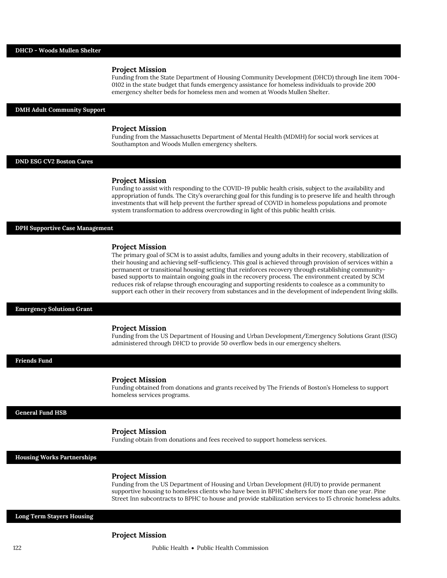Funding from the State Department of Housing Community Development (DHCD) through line item 7004- 0102 in the state budget that funds emergency assistance for homeless individuals to provide 200 emergency shelter beds for homeless men and women at Woods Mullen Shelter.

#### **DMH Adult Community Support**

## **Project Mission**

Funding from the Massachusetts Department of Mental Health (MDMH) for social work services at Southampton and Woods Mullen emergency shelters.

## **DND ESG CV2 Boston Cares**

#### **Project Mission**

Funding to assist with responding to the COVID-19 public health crisis, subject to the availability and appropriation of funds. The City's overarching goal for this funding is to preserve life and health through investments that will help prevent the further spread of COVID in homeless populations and promote system transformation to address overcrowding in light of this public health crisis.

## **DPH Supportive Case Management**

#### **Project Mission**

The primary goal of SCM is to assist adults, families and young adults in their recovery, stabilization of their housing and achieving self-sufficiency. This goal is achieved through provision of services within a permanent or transitional housing setting that reinforces recovery through establishing communitybased supports to maintain ongoing goals in the recovery process. The environment created by SCM reduces risk of relapse through encouraging and supporting residents to coalesce as a community to support each other in their recovery from substances and in the development of independent living skills.

**Emergency Solutions Grant**

## **Project Mission**

Funding from the US Department of Housing and Urban Development/Emergency Solutions Grant (ESG) administered through DHCD to provide 50 overflow beds in our emergency shelters.

## **Friends Fund**

#### **Project Mission**

Funding obtained from donations and grants received by The Friends of Boston's Homeless to support homeless services programs.

#### **General Fund HSB**

## **Project Mission**

Funding obtain from donations and fees received to support homeless services.

**Housing Works Partnerships**

## **Project Mission**

Funding from the US Department of Housing and Urban Development (HUD) to provide permanent supportive housing to homeless clients who have been in BPHC shelters for more than one year. Pine Street Inn subcontracts to BPHC to house and provide stabilization services to 15 chronic homeless adults.

## **Long Term Stayers Housing**

## **Project Mission**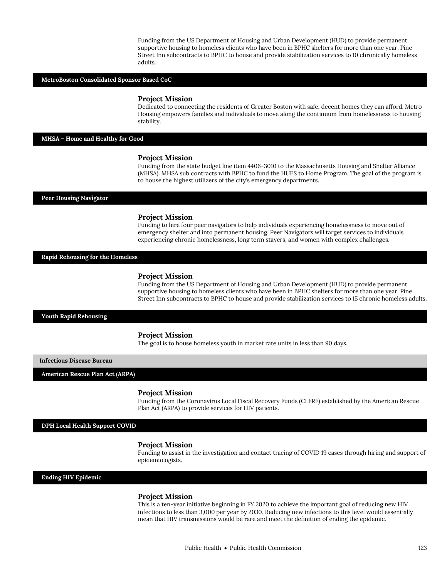Funding from the US Department of Housing and Urban Development (HUD) to provide permanent supportive housing to homeless clients who have been in BPHC shelters for more than one year. Pine Street Inn subcontracts to BPHC to house and provide stabilization services to 10 chronically homeless adults.

## **MetroBoston Consolidated Sponsor Based CoC**

#### **Project Mission**

Dedicated to connecting the residents of Greater Boston with safe, decent homes they can afford. Metro Housing empowers families and individuals to move along the continuum from homelessness to housing stability.

**MHSA – Home and Healthy for Good**

#### **Project Mission**

Funding from the state budget line item 4406-3010 to the Massachusetts Housing and Shelter Alliance (MHSA). MHSA sub contracts with BPHC to fund the HUES to Home Program. The goal of the program is to house the highest utilizers of the city's emergency departments.

#### **Peer Housing Navigator**

#### **Project Mission**

Funding to hire four peer navigators to help individuals experiencing homelessness to move out of emergency shelter and into permanent housing. Peer Navigators will target services to individuals experiencing chronic homelessness, long term stayers, and women with complex challenges.

**Rapid Rehousing for the Homeless**

## **Project Mission**

Funding from the US Department of Housing and Urban Development (HUD) to provide permanent supportive housing to homeless clients who have been in BPHC shelters for more than one year. Pine Street Inn subcontracts to BPHC to house and provide stabilization services to 15 chronic homeless adults.

## **Youth Rapid Rehousing**

## **Project Mission**

The goal is to house homeless youth in market rate units in less than 90 days.

## **Infectious Disease Bureau**

**American Rescue Plan Act (ARPA)**

#### **Project Mission**

Funding from the Coronavirus Local Fiscal Recovery Funds (CLFRF) established by the American Rescue Plan Act (ARPA) to provide services for HIV patients.

**DPH Local Health Support COVID**

#### **Project Mission**

Funding to assist in the investigation and contact tracing of COVID 19 cases through hiring and support of epidemiologists.

## **Ending HIV Epidemic**

## **Project Mission**

This is a ten-year initiative beginning in FY 2020 to achieve the important goal of reducing new HIV infections to less than 3,000 per year by 2030. Reducing new infections to this level would essentially mean that HIV transmissions would be rare and meet the definition of ending the epidemic.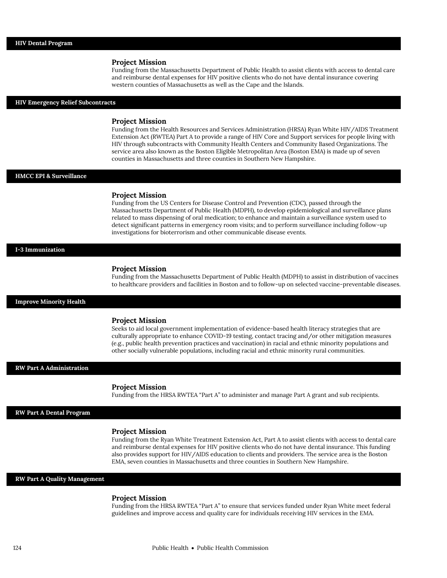Funding from the Massachusetts Department of Public Health to assist clients with access to dental care and reimburse dental expenses for HIV positive clients who do not have dental insurance covering western counties of Massachusetts as well as the Cape and the Islands.

## **HIV Emergency Relief Subcontracts**

## **Project Mission**

Funding from the Health Resources and Services Administration (HRSA) Ryan White HIV/AIDS Treatment Extension Act (RWTEA) Part A to provide a range of HIV Core and Support services for people living with HIV through subcontracts with Community Health Centers and Community Based Organizations. The service area also known as the Boston Eligible Metropolitan Area (Boston EMA) is made up of seven counties in Massachusetts and three counties in Southern New Hampshire.

## **HMCC EPI & Surveillance**

## **Project Mission**

Funding from the US Centers for Disease Control and Prevention (CDC), passed through the Massachusetts Department of Public Health (MDPH), to develop epidemiological and surveillance plans related to mass dispensing of oral medication; to enhance and maintain a surveillance system used to detect significant patterns in emergency room visits; and to perform surveillance including follow-up investigations for bioterrorism and other communicable disease events.

### **I-3 Immunization**

#### **Project Mission**

Funding from the Massachusetts Department of Public Health (MDPH) to assist in distribution of vaccines to healthcare providers and facilities in Boston and to follow-up on selected vaccine-preventable diseases.

## **Improve Minority Health**

## **Project Mission**

Seeks to aid local government implementation of evidence-based health literacy strategies that are culturally appropriate to enhance COVID-19 testing, contact tracing and/or other mitigation measures (e.g., public health prevention practices and vaccination) in racial and ethnic minority populations and other socially vulnerable populations, including racial and ethnic minority rural communities.

### **RW Part A Administration**

## **Project Mission**

Funding from the HRSA RWTEA "Part A" to administer and manage Part A grant and sub recipients.

## **RW Part A Dental Program**

## **Project Mission**

Funding from the Ryan White Treatment Extension Act, Part A to assist clients with access to dental care and reimburse dental expenses for HIV positive clients who do not have dental insurance. This funding also provides support for HIV/AIDS education to clients and providers. The service area is the Boston EMA, seven counties in Massachusetts and three counties in Southern New Hampshire.

## **RW Part A Quality Management**

## **Project Mission**

Funding from the HRSA RWTEA "Part A" to ensure that services funded under Ryan White meet federal guidelines and improve access and quality care for individuals receiving HIV services in the EMA.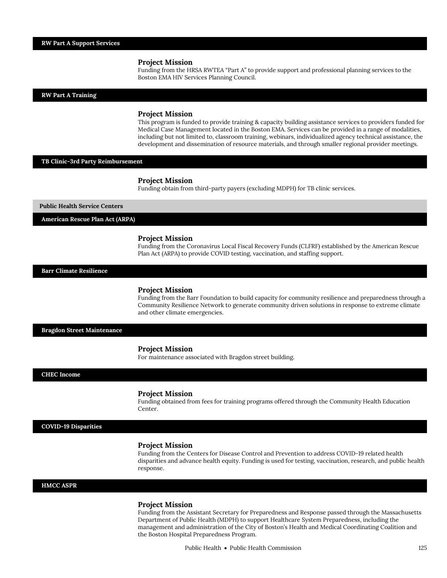Funding from the HRSA RWTEA "Part A" to provide support and professional planning services to the Boston EMA HIV Services Planning Council.

## **RW Part A Training**

## **Project Mission**

This program is funded to provide training & capacity building assistance services to providers funded for Medical Case Management located in the Boston EMA. Services can be provided in a range of modalities, including but not limited to, classroom training, webinars, individualized agency technical assistance, the development and dissemination of resource materials, and through smaller regional provider meetings.

## **TB Clinic-3rd Party Reimbursement**

## **Project Mission**

Funding obtain from third-party payers (excluding MDPH) for TB clinic services.

#### **Public Health Service Centers**

**American Rescue Plan Act (ARPA)**

## **Project Mission**

Funding from the Coronavirus Local Fiscal Recovery Funds (CLFRF) established by the American Rescue Plan Act (ARPA) to provide COVID testing, vaccination, and staffing support.

## **Barr Climate Resilience**

#### **Project Mission**

Funding from the Barr Foundation to build capacity for community resilience and preparedness through a Community Resilience Network to generate community driven solutions in response to extreme climate and other climate emergencies.

## **Bragdon Street Maintenance**

## **Project Mission**

For maintenance associated with Bragdon street building.

## **CHEC Income**

## **Project Mission**

Funding obtained from fees for training programs offered through the Community Health Education Center.

## **COVID-19 Disparities**

## **Project Mission**

Funding from the Centers for Disease Control and Prevention to address COVID-19 related health disparities and advance health equity. Funding is used for testing, vaccination, research, and public health response.

## **HMCC ASPR**

## **Project Mission**

Funding from the Assistant Secretary for Preparedness and Response passed through the Massachusetts Department of Public Health (MDPH) to support Healthcare System Preparedness, including the management and administration of the City of Boston's Health and Medical Coordinating Coalition and the Boston Hospital Preparedness Program.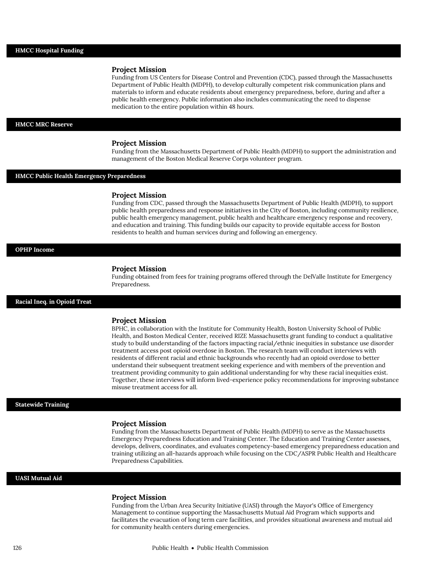Funding from US Centers for Disease Control and Prevention (CDC), passed through the Massachusetts Department of Public Health (MDPH), to develop culturally competent risk communication plans and materials to inform and educate residents about emergency preparedness, before, during and after a public health emergency. Public information also includes communicating the need to dispense medication to the entire population within 48 hours.

## **HMCC MRC Reserve**

## **Project Mission**

Funding from the Massachusetts Department of Public Health (MDPH) to support the administration and management of the Boston Medical Reserve Corps volunteer program.

# **HMCC Public Health Emergency Preparedness**

#### **Project Mission**

Funding from CDC, passed through the Massachusetts Department of Public Health (MDPH), to support public health preparedness and response initiatives in the City of Boston, including community resilience, public health emergency management, public health and healthcare emergency response and recovery, and education and training. This funding builds our capacity to provide equitable access for Boston residents to health and human services during and following an emergency.

#### **OPHP Income**

#### **Project Mission**

Funding obtained from fees for training programs offered through the DelValle Institute for Emergency Preparedness.

## **Racial Ineq. in Opioid Treat**

## **Project Mission**

BPHC, in collaboration with the Institute for Community Health, Boston University School of Public Health, and Boston Medical Center, received RIZE Massachusetts grant funding to conduct a qualitative study to build understanding of the factors impacting racial/ethnic inequities in substance use disorder treatment access post opioid overdose in Boston. The research team will conduct interviews with residents of different racial and ethnic backgrounds who recently had an opioid overdose to better understand their subsequent treatment seeking experience and with members of the prevention and treatment providing community to gain additional understanding for why these racial inequities exist. Together, these interviews will inform lived-experience policy recommendations for improving substance misuse treatment access for all.

## **Statewide Training**

#### **Project Mission**

Funding from the Massachusetts Department of Public Health (MDPH) to serve as the Massachusetts Emergency Preparedness Education and Training Center. The Education and Training Center assesses, develops, delivers, coordinates, and evaluates competency-based emergency preparedness education and training utilizing an all-hazards approach while focusing on the CDC/ASPR Public Health and Healthcare Preparedness Capabilities.

## **UASI Mutual Aid**

## **Project Mission**

Funding from the Urban Area Security Initiative (UASI) through the Mayor's Office of Emergency Management to continue supporting the Massachusetts Mutual Aid Program which supports and facilitates the evacuation of long term care facilities, and provides situational awareness and mutual aid for community health centers during emergencies.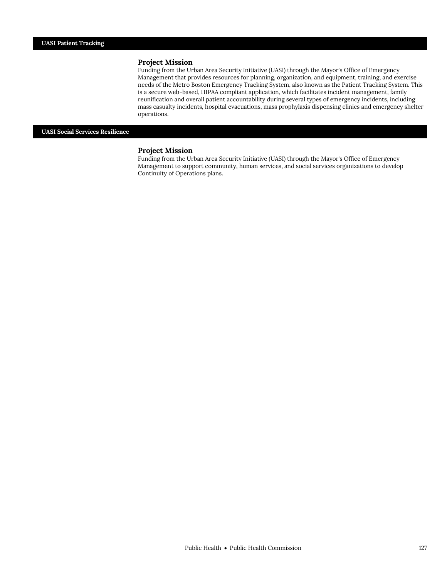Funding from the Urban Area Security Initiative (UASI) through the Mayor's Office of Emergency Management that provides resources for planning, organization, and equipment, training, and exercise needs of the Metro Boston Emergency Tracking System, also known as the Patient Tracking System. This is a secure web-based, HIPAA compliant application, which facilitates incident management, family reunification and overall patient accountability during several types of emergency incidents, including mass casualty incidents, hospital evacuations, mass prophylaxis dispensing clinics and emergency shelter operations.

## **UASI Social Services Resilience**

## **Project Mission**

Funding from the Urban Area Security Initiative (UASI) through the Mayor's Office of Emergency Management to support community, human services, and social services organizations to develop Continuity of Operations plans.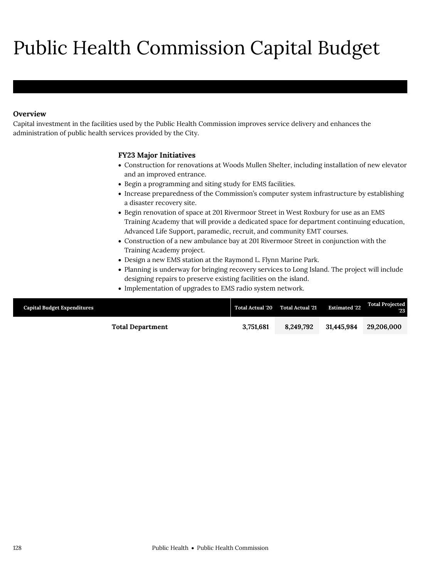# Public Health Commission Capital Budget

# **Overview**

Public Health Commission

Capital investment in the facilities used by the Public Health Commission improves service delivery and enhances the administration of public health services provided by the City.

# **FY23 Major Initiatives**

- Construction for renovations at Woods Mullen Shelter, including installation of new elevator and an improved entrance.
- Begin a programming and siting study for EMS facilities.
- Increase preparedness of the Commission's computer system infrastructure by establishing a disaster recovery site.
- Begin renovation of space at 201 Rivermoor Street in West Roxbury for use as an EMS Training Academy that will provide a dedicated space for department continuing education, Advanced Life Support, paramedic, recruit, and community EMT courses.
- Construction of a new ambulance bay at 201 Rivermoor Street in conjunction with the Training Academy project.
- Design a new EMS station at the Raymond L. Flynn Marine Park.
- Planning is underway for bringing recovery services to Long Island. The project will include designing repairs to preserve existing facilities on the island.
- Implementation of upgrades to EMS radio system network.

| <b>Capital Budget Expenditures</b> |                         |           | Total Actual '20 Total Actual '21 | <b>Estimated 22</b> | <b>Total Projected</b><br>23 |
|------------------------------------|-------------------------|-----------|-----------------------------------|---------------------|------------------------------|
|                                    | <b>Total Department</b> | 3.751.681 | 8.249.792                         | 31.445.984          | 29,206,000                   |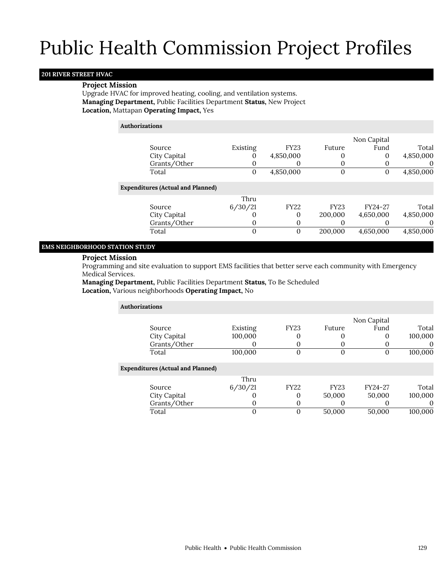## **201 RIVER STREET HVAC**

## **Project Mission**

Upgrade HVAC for improved heating, cooling, and ventilation systems. **Managing Department,** Public Facilities Department **Status,** New Project **Location,** Mattapan **Operating Impact,** Yes

## **Authorizations**

|                                          |          |             |             | Non Capital |           |
|------------------------------------------|----------|-------------|-------------|-------------|-----------|
| Source                                   | Existing | <b>FY23</b> | Future      | Fund        | Total     |
| City Capital                             |          | 4,850,000   |             | 0           | 4,850,000 |
| Grants/Other                             |          |             |             |             |           |
| Total                                    | 0        | 4,850,000   |             |             | 4,850,000 |
| <b>Expenditures (Actual and Planned)</b> |          |             |             |             |           |
|                                          | Thru     |             |             |             |           |
| Source                                   | 6/30/21  | <b>FY22</b> | <b>FY23</b> | FY24-27     | Total     |
| City Capital                             |          | 0           | 200,000     | 4,650,000   | 4,850,000 |
| Grants/Other                             |          | 0           |             |             | $\Omega$  |
| Total                                    | $\Omega$ | $\Omega$    | 200,000     | 4,650,000   | 4,850,000 |

# **EMS NEIGHBORHOOD STATION STUDY**

## **Project Mission**

Programming and site evaluation to support EMS facilities that better serve each community with Emergency Medical Services.

**Managing Department,** Public Facilities Department **Status,** To Be Scheduled **Location,** Various neighborhoods **Operating Impact,** No

| <b>Authorizations</b>                    |          |             |             |             |         |
|------------------------------------------|----------|-------------|-------------|-------------|---------|
|                                          |          |             |             | Non Capital |         |
| Source                                   | Existing | <b>FY23</b> | Future      | Fund        | Total   |
| City Capital                             | 100,000  |             |             |             | 100,000 |
| Grants/Other                             |          |             |             |             |         |
| Total                                    | 100,000  | 0           | 0           | 0           | 100,000 |
| <b>Expenditures (Actual and Planned)</b> |          |             |             |             |         |
|                                          | Thru     |             |             |             |         |
| Source                                   | 6/30/21  | <b>FY22</b> | <b>FY23</b> | FY24-27     | Total   |
| City Capital                             |          |             | 50,000      | 50,000      | 100,000 |
| Grants/Other                             |          |             | $\Omega$    |             |         |
| Total                                    | 0        | 0           | 50,000      | 50,000      | 100,000 |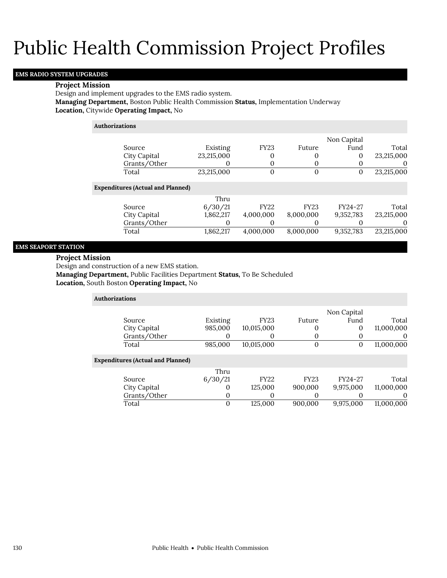# **EMS RADIO SYSTEM UPGRADES**

## **Project Mission**

Design and implement upgrades to the EMS radio system.

**Managing Department,** Boston Public Health Commission **Status,** Implementation Underway **Location,** Citywide **Operating Impact,** No

# **Authorizations**

|                                          |            |              |             | Non Capital |            |
|------------------------------------------|------------|--------------|-------------|-------------|------------|
| Source                                   | Existing   | <b>FY23</b>  | Future      | Fund        | Total      |
| City Capital                             | 23,215,000 | 0            |             | 0           | 23,215,000 |
| Grants/Other                             |            |              |             |             | $\Omega$   |
| Total                                    | 23,215,000 | $\mathbf{0}$ |             | $\Omega$    | 23,215,000 |
| <b>Expenditures (Actual and Planned)</b> |            |              |             |             |            |
|                                          | Thru       |              |             |             |            |
| Source                                   | 6/30/21    | <b>FY22</b>  | <b>FY23</b> | FY24-27     | Total      |
| City Capital                             | 1,862,217  | 4,000,000    | 8,000,000   | 9,352,783   | 23,215,000 |
| Grants/Other                             |            |              |             |             | $\Omega$   |
| Total                                    | 1,862,217  | 4.000.000    | 8.000.000   | 9,352,783   | 23,215,000 |

## **EMS SEAPORT STATION**

## **Project Mission**

Design and construction of a new EMS station.

**Managing Department,** Public Facilities Department **Status,** To Be Scheduled

**Location,** South Boston **Operating Impact,** No

| Authorizations                           |             |             |             |             |            |
|------------------------------------------|-------------|-------------|-------------|-------------|------------|
|                                          |             |             |             | Non Capital |            |
| Source                                   | Existing    | <b>FY23</b> | Future      | Fund        | Total      |
| City Capital                             | 985,000     | 10,015,000  | 0           | 0           | 11,000,000 |
| Grants/Other                             | O           | 0           | 0           |             | $\Omega$   |
| Total                                    | 985.000     | 10,015,000  | $\Omega$    | 0           | 11,000,000 |
| <b>Expenditures (Actual and Planned)</b> |             |             |             |             |            |
|                                          | Thru        |             |             |             |            |
| Source                                   | 6/30/21     | <b>FY22</b> | <b>FY23</b> | FY24-27     | Total      |
| City Capital                             | $\theta$    | 125,000     | 900,000     | 9,975,000   | 11,000,000 |
| Grants/Other                             | 0           | 0           | 0           |             | 0          |
| Total                                    | $\mathbf 0$ | 125,000     | 900.000     | 9,975,000   | 11,000,000 |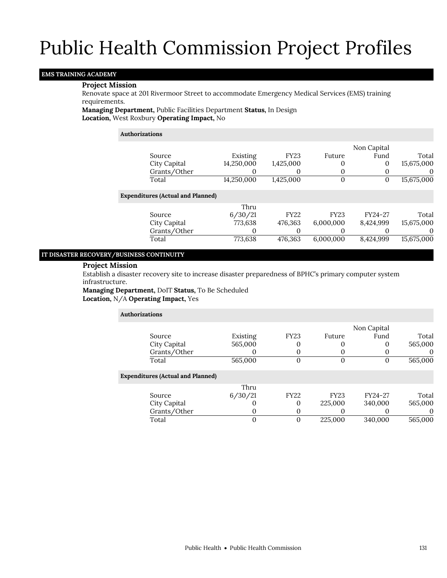## **EMS TRAINING ACADEMY**

## **Project Mission**

Renovate space at 201 Rivermoor Street to accommodate Emergency Medical Services (EMS) training requirements.

**Managing Department,** Public Facilities Department **Status,** In Design **Location,** West Roxbury **Operating Impact,** No

## **Authorizations**

|                                          |            |             |             | Non Capital |            |
|------------------------------------------|------------|-------------|-------------|-------------|------------|
| Source                                   | Existing   | <b>FY23</b> | Future      | Fund        | Total      |
| City Capital                             | 14,250,000 | 1,425,000   | 0           | $\Omega$    | 15,675,000 |
| Grants/Other                             | O          | 0           |             |             |            |
| Total                                    | 14,250,000 | 1,425,000   | 0           | 0           | 15,675,000 |
| <b>Expenditures (Actual and Planned)</b> |            |             |             |             |            |
|                                          | Thru       |             |             |             |            |
| Source                                   | 6/30/21    | <b>FY22</b> | <b>FY23</b> | FY24-27     | Total      |
| City Capital                             | 773,638    | 476,363     | 6,000,000   | 8,424,999   | 15,675,000 |
| Grants/Other                             | O          | 0           |             |             | $\theta$   |
| Total                                    | 773,638    | 476,363     | 6,000,000   | 8,424,999   | 15,675,000 |
|                                          |            |             |             |             |            |

## **IT DISASTER RECOVERY/BUSINESS CONTINUITY**

## **Project Mission**

Establish a disaster recovery site to increase disaster preparedness of BPHC's primary computer system infrastructure.

**Managing Department,** DoIT **Status,** To Be Scheduled **Location,** N/A **Operating Impact,** Yes

## **Authorizations** Source Existing FY23 Future Non Capital Fund Total<br>0 565,000 City Capital 565,000 0 0 0 0 Grants/Other 0 0 0 0 0 0 Total 565,000 0 0 0 565,000 **Expenditures (Actual and Planned)** Source Thru 6/30/21 FY22 FY23 FY24-27 Total City Capital 0 225,000 340,000 565,000 565,000 565,000 565,000 565,000 565,000 565,000 565,000 565,000 565,000 Grants/Other 0 0 0 0 0 Total 0 0 225,000 340,000 565,000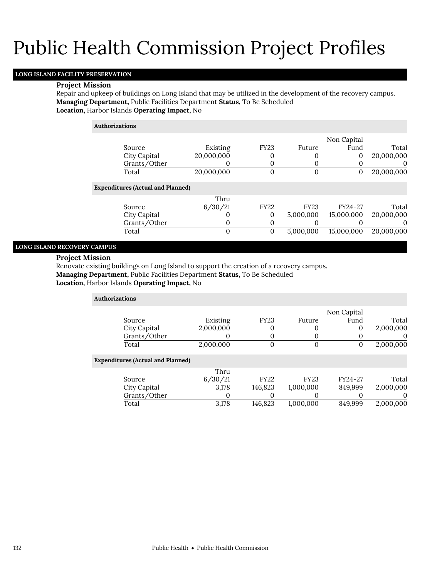# **LONG ISLAND FACILITY PRESERVATION**

## **Project Mission**

Repair and upkeep of buildings on Long Island that may be utilized in the development of the recovery campus. **Managing Department,** Public Facilities Department **Status,** To Be Scheduled **Location,** Harbor Islands **Operating Impact,** No

|                                          |            |             |              | Non Capital  |            |
|------------------------------------------|------------|-------------|--------------|--------------|------------|
| Source                                   | Existing   | <b>FY23</b> | Future       | Fund         | Total      |
| City Capital                             | 20,000,000 |             |              | 0            | 20,000,000 |
| Grants/Other                             |            |             | O            | 0            | $\Omega$   |
| Total                                    | 20,000,000 | $\mathbf 0$ | $\mathbf{0}$ | $\mathbf{0}$ | 20,000,000 |
| <b>Expenditures (Actual and Planned)</b> |            |             |              |              |            |
|                                          | Thru       |             |              |              |            |
| Source                                   | 6/30/21    | <b>FY22</b> | <b>FY23</b>  | FY24-27      | Total      |
| City Capital                             |            | 0           | 5,000,000    | 15,000,000   | 20,000,000 |
| Grants/Other                             |            |             |              |              | $\theta$   |
| Total                                    | 0          | 0           | 5,000,000    | 15,000,000   | 20,000,000 |

# **LONG ISLAND RECOVERY CAMPUS**

## **Project Mission**

Renovate existing buildings on Long Island to support the creation of a recovery campus.

**Managing Department,** Public Facilities Department **Status,** To Be Scheduled

**Location,** Harbor Islands **Operating Impact,** No

| <b>Authorizations</b> |                                          |           |              |             |             |           |
|-----------------------|------------------------------------------|-----------|--------------|-------------|-------------|-----------|
|                       |                                          |           |              |             | Non Capital |           |
|                       | Source                                   | Existing  | <b>FY23</b>  | Future      | Fund        | Total     |
|                       | City Capital                             | 2,000,000 | 0            | 0           | 0           | 2,000,000 |
|                       | Grants/Other                             |           | 0            | 0           |             |           |
|                       | Total                                    | 2,000,000 | $\mathbf{0}$ | $\Omega$    | 0           | 2,000,000 |
|                       | <b>Expenditures (Actual and Planned)</b> |           |              |             |             |           |
|                       |                                          | Thru      |              |             |             |           |
|                       | Source                                   | 6/30/21   | <b>FY22</b>  | <b>FY23</b> | FY24-27     | Total     |
|                       | City Capital                             | 3,178     | 146,823      | 1,000,000   | 849,999     | 2,000,000 |
|                       | Grants/Other                             | O         | 0            | 0           |             |           |
|                       | Total                                    | 3,178     | 146,823      | 1,000,000   | 849.999     | 2,000,000 |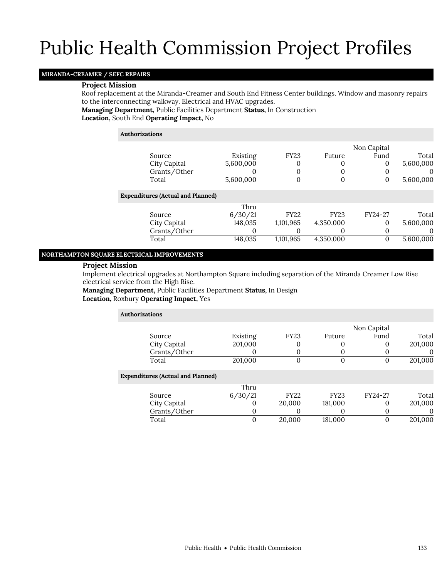# **MIRANDA-CREAMER / SEFC REPAIRS**

## **Project Mission**

Roof replacement at the Miranda-Creamer and South End Fitness Center buildings. Window and masonry repairs to the interconnecting walkway. Electrical and HVAC upgrades.

## **Managing Department,** Public Facilities Department **Status,** In Construction **Location,** South End **Operating Impact,** No

## **Authorizations**

|                                          |           |             |             | Non Capital |           |
|------------------------------------------|-----------|-------------|-------------|-------------|-----------|
| Source                                   | Existing  | <b>FY23</b> | Future      | Fund        | Total     |
| City Capital                             | 5,600,000 | 0           | 0           | 0           | 5,600,000 |
| Grants/Other                             | O         | 0           | $\Omega$    |             | O         |
| Total                                    | 5,600,000 | 0           | 0           | O           | 5,600,000 |
| <b>Expenditures (Actual and Planned)</b> |           |             |             |             |           |
|                                          | Thru      |             |             |             |           |
| Source                                   | 6/30/21   | <b>FY22</b> | <b>FY23</b> | FY24-27     | Total     |
| City Capital                             | 148,035   | 1,101,965   | 4,350,000   | 0           | 5,600,000 |
| Grants/Other                             |           |             | O           |             | $\theta$  |
| Total                                    | 148,035   | 1,101,965   | 4,350,000   | O           | 5,600,000 |
|                                          |           |             |             |             |           |

## **NORTHAMPTON SQUARE ELECTRICAL IMPROVEMENTS**

## **Project Mission**

Implement electrical upgrades at Northampton Square including separation of the Miranda Creamer Low Rise electrical service from the High Rise.

**Managing Department,** Public Facilities Department **Status,** In Design **Location,** Roxbury **Operating Impact,** Yes

| <b>Authorizations</b>                    |          |             |             |             |          |
|------------------------------------------|----------|-------------|-------------|-------------|----------|
|                                          |          |             |             | Non Capital |          |
| Source                                   | Existing | <b>FY23</b> | Future      | Fund        | Total    |
| City Capital                             | 201,000  | 0           | 0           | 0           | 201,000  |
| Grants/Other                             |          | 0           | 0           | O           | $\theta$ |
| Total                                    | 201,000  | 0           | $\Omega$    | O           | 201,000  |
| <b>Expenditures (Actual and Planned)</b> |          |             |             |             |          |
|                                          | Thru     |             |             |             |          |
| Source                                   | 6/30/21  | <b>FY22</b> | <b>FY23</b> | FY24-27     | Total    |
| City Capital                             |          | 20,000      | 181,000     | O)          | 201,000  |
| Grants/Other                             | 0        | 0           | $\Omega$    | 0           | 0        |
| Total                                    | 0        | 20,000      | 181,000     | 0           | 201,000  |